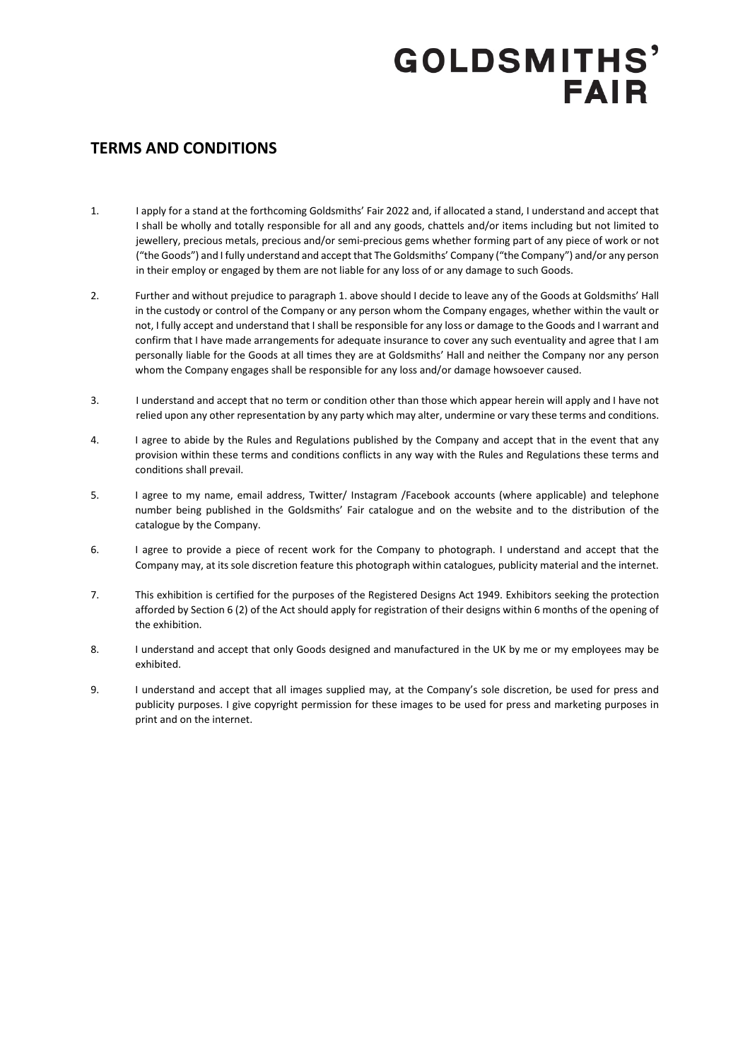### **TERMS AND CONDITIONS**

- 1. I apply for a stand at the forthcoming Goldsmiths' Fair 2022 and, if allocated a stand, I understand and accept that I shall be wholly and totally responsible for all and any goods, chattels and/or items including but not limited to jewellery, precious metals, precious and/or semi-precious gems whether forming part of any piece of work or not ("the Goods") and I fully understand and accept that The Goldsmiths' Company ("the Company") and/or any person in their employ or engaged by them are not liable for any loss of or any damage to such Goods.
- 2. Further and without prejudice to paragraph 1. above should I decide to leave any of the Goods at Goldsmiths' Hall in the custody or control of the Company or any person whom the Company engages, whether within the vault or not, I fully accept and understand that I shall be responsible for any loss or damage to the Goods and I warrant and confirm that I have made arrangements for adequate insurance to cover any such eventuality and agree that I am personally liable for the Goods at all times they are at Goldsmiths' Hall and neither the Company nor any person whom the Company engages shall be responsible for any loss and/or damage howsoever caused.
- 3. I understand and accept that no term or condition other than those which appear herein will apply and I have not relied upon any other representation by any party which may alter, undermine or vary these terms and conditions.
- 4. I agree to abide by the Rules and Regulations published by the Company and accept that in the event that any provision within these terms and conditions conflicts in any way with the Rules and Regulations these terms and conditions shall prevail.
- 5. I agree to my name, email address, Twitter/ Instagram /Facebook accounts (where applicable) and telephone number being published in the Goldsmiths' Fair catalogue and on the website and to the distribution of the catalogue by the Company.
- 6. I agree to provide a piece of recent work for the Company to photograph. I understand and accept that the Company may, at its sole discretion feature this photograph within catalogues, publicity material and the internet.
- 7. This exhibition is certified for the purposes of the Registered Designs Act 1949. Exhibitors seeking the protection afforded by Section 6 (2) of the Act should apply for registration of their designs within 6 months of the opening of the exhibition.
- 8. I understand and accept that only Goods designed and manufactured in the UK by me or my employees may be exhibited.
- 9. I understand and accept that all images supplied may, at the Company's sole discretion, be used for press and publicity purposes. I give copyright permission for these images to be used for press and marketing purposes in print and on the internet.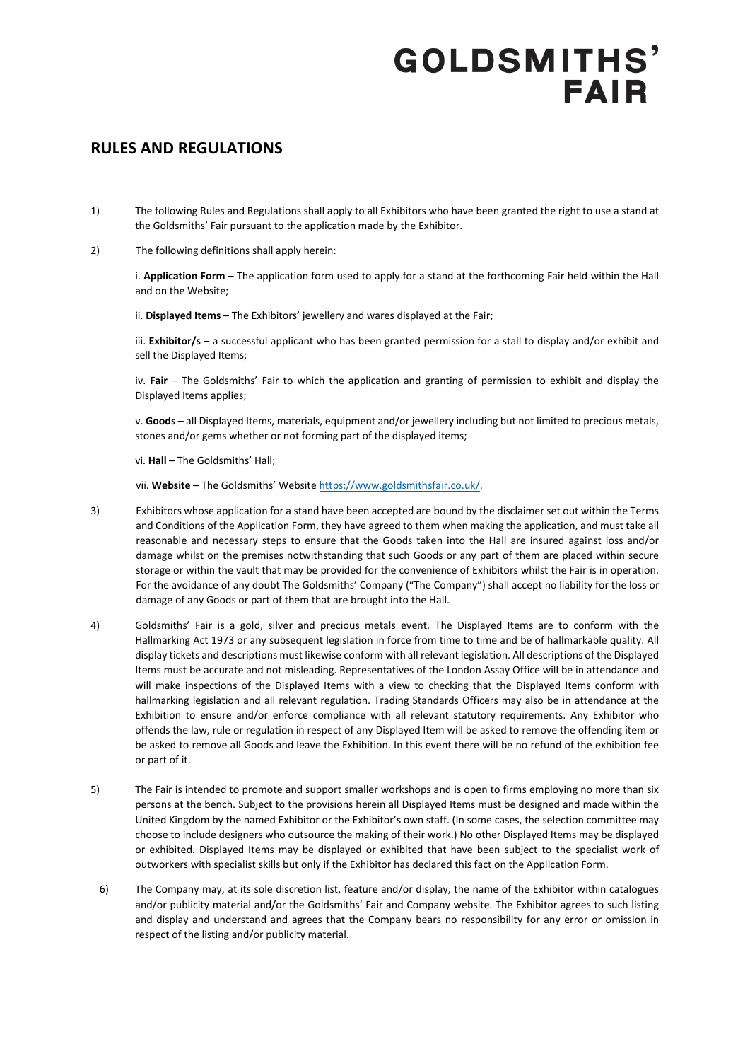#### **RULES AND REGULATIONS**

- 1) The following Rules and Regulations shall apply to all Exhibitors who have been granted the right to use a stand at the Goldsmiths' Fair pursuant to the application made by the Exhibitor.
- 2) The following definitions shall apply herein:

i. **Application Form** – The application form used to apply for a stand at the forthcoming Fair held within the Hall and on the Website;

ii. **Displayed Items** – The Exhibitors' jewellery and wares displayed at the Fair;

iii. **Exhibitor/s** – a successful applicant who has been granted permission for a stall to display and/or exhibit and sell the Displayed Items;

iv. **Fair** – The Goldsmiths' Fair to which the application and granting of permission to exhibit and display the Displayed Items applies;

v. **Goods** – all Displayed Items, materials, equipment and/or jewellery including but not limited to precious metals, stones and/or gems whether or not forming part of the displayed items;

vi. **Hall** – The Goldsmiths' Hall;

vii. **Website** – The Goldsmiths' Websit[e https://www.goldsmithsfair.co.uk/.](https://www.goldsmithsfair.co.uk/)

- 3) Exhibitors whose application for a stand have been accepted are bound by the disclaimer set out within the Terms and Conditions of the Application Form, they have agreed to them when making the application, and must take all reasonable and necessary steps to ensure that the Goods taken into the Hall are insured against loss and/or damage whilst on the premises notwithstanding that such Goods or any part of them are placed within secure storage or within the vault that may be provided for the convenience of Exhibitors whilst the Fair is in operation. For the avoidance of any doubt The Goldsmiths' Company ("The Company") shall accept no liability for the loss or damage of any Goods or part of them that are brought into the Hall.
- 4) Goldsmiths' Fair is a gold, silver and precious metals event. The Displayed Items are to conform with the Hallmarking Act 1973 or any subsequent legislation in force from time to time and be of hallmarkable quality. All display tickets and descriptions must likewise conform with all relevant legislation. All descriptions of the Displayed Items must be accurate and not misleading. Representatives of the London Assay Office will be in attendance and will make inspections of the Displayed Items with a view to checking that the Displayed Items conform with hallmarking legislation and all relevant regulation. Trading Standards Officers may also be in attendance at the Exhibition to ensure and/or enforce compliance with all relevant statutory requirements. Any Exhibitor who offends the law, rule or regulation in respect of any Displayed Item will be asked to remove the offending item or be asked to remove all Goods and leave the Exhibition. In this event there will be no refund of the exhibition fee or part of it.
- 5) The Fair is intended to promote and support smaller workshops and is open to firms employing no more than six persons at the bench. Subject to the provisions herein all Displayed Items must be designed and made within the United Kingdom by the named Exhibitor or the Exhibitor's own staff. (In some cases, the selection committee may choose to include designers who outsource the making of their work.) No other Displayed Items may be displayed or exhibited. Displayed Items may be displayed or exhibited that have been subject to the specialist work of outworkers with specialist skills but only if the Exhibitor has declared this fact on the Application Form.
	- 6) The Company may, at its sole discretion list, feature and/or display, the name of the Exhibitor within catalogues and/or publicity material and/or the Goldsmiths' Fair and Company website. The Exhibitor agrees to such listing and display and understand and agrees that the Company bears no responsibility for any error or omission in respect of the listing and/or publicity material.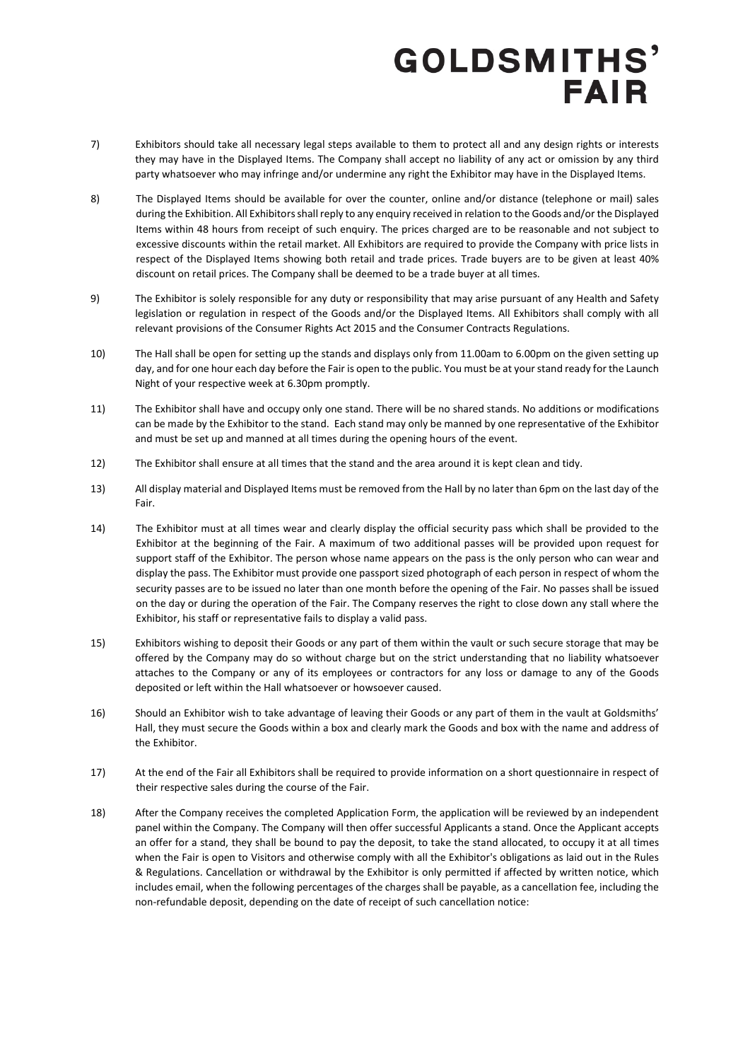- 7) Exhibitors should take all necessary legal steps available to them to protect all and any design rights or interests they may have in the Displayed Items. The Company shall accept no liability of any act or omission by any third party whatsoever who may infringe and/or undermine any right the Exhibitor may have in the Displayed Items.
- 8) The Displayed Items should be available for over the counter, online and/or distance (telephone or mail) sales during the Exhibition. All Exhibitors shall reply to any enquiry received in relation to the Goods and/or the Displayed Items within 48 hours from receipt of such enquiry. The prices charged are to be reasonable and not subject to excessive discounts within the retail market. All Exhibitors are required to provide the Company with price lists in respect of the Displayed Items showing both retail and trade prices. Trade buyers are to be given at least 40% discount on retail prices. The Company shall be deemed to be a trade buyer at all times.
- 9) The Exhibitor is solely responsible for any duty or responsibility that may arise pursuant of any Health and Safety legislation or regulation in respect of the Goods and/or the Displayed Items. All Exhibitors shall comply with all relevant provisions of the Consumer Rights Act 2015 and the Consumer Contracts Regulations.
- 10) The Hall shall be open for setting up the stands and displays only from 11.00am to 6.00pm on the given setting up day, and for one hour each day before the Fair is open to the public. You must be at your stand ready for the Launch Night of your respective week at 6.30pm promptly.
- 11) The Exhibitor shall have and occupy only one stand. There will be no shared stands. No additions or modifications can be made by the Exhibitor to the stand. Each stand may only be manned by one representative of the Exhibitor and must be set up and manned at all times during the opening hours of the event.
- 12) The Exhibitor shall ensure at all times that the stand and the area around it is kept clean and tidy.
- 13) All display material and Displayed Items must be removed from the Hall by no later than 6pm on the last day of the Fair.
- 14) The Exhibitor must at all times wear and clearly display the official security pass which shall be provided to the Exhibitor at the beginning of the Fair. A maximum of two additional passes will be provided upon request for support staff of the Exhibitor. The person whose name appears on the pass is the only person who can wear and display the pass. The Exhibitor must provide one passport sized photograph of each person in respect of whom the security passes are to be issued no later than one month before the opening of the Fair. No passes shall be issued on the day or during the operation of the Fair. The Company reserves the right to close down any stall where the Exhibitor, his staff or representative fails to display a valid pass.
- 15) Exhibitors wishing to deposit their Goods or any part of them within the vault or such secure storage that may be offered by the Company may do so without charge but on the strict understanding that no liability whatsoever attaches to the Company or any of its employees or contractors for any loss or damage to any of the Goods deposited or left within the Hall whatsoever or howsoever caused.
- 16) Should an Exhibitor wish to take advantage of leaving their Goods or any part of them in the vault at Goldsmiths' Hall, they must secure the Goods within a box and clearly mark the Goods and box with the name and address of the Exhibitor.
- 17) At the end of the Fair all Exhibitors shall be required to provide information on a short questionnaire in respect of their respective sales during the course of the Fair.
- 18) After the Company receives the completed Application Form, the application will be reviewed by an independent panel within the Company. The Company will then offer successful Applicants a stand. Once the Applicant accepts an offer for a stand, they shall be bound to pay the deposit, to take the stand allocated, to occupy it at all times when the Fair is open to Visitors and otherwise comply with all the Exhibitor's obligations as laid out in the Rules & Regulations. Cancellation or withdrawal by the Exhibitor is only permitted if affected by written notice, which includes email, when the following percentages of the charges shall be payable, as a cancellation fee, including the non-refundable deposit, depending on the date of receipt of such cancellation notice: